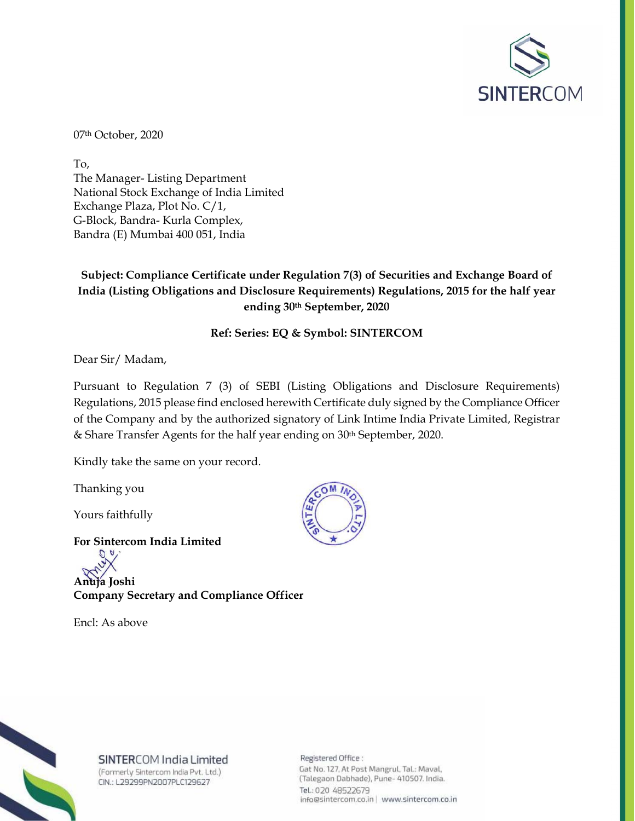

07th October, 2020

To, The Manager- Listing Department National Stock Exchange of India Limited Exchange Plaza, Plot No. C/1, G-Block, Bandra- Kurla Complex, Bandra (E) Mumbai 400 051, India

## **Subject: Compliance Certificate under Regulation 7(3) of Securities and Exchange Board of India (Listing Obligations and Disclosure Requirements) Regulations, 2015 for the half year ending 30th September, 2020**

## **Ref: Series: EQ & Symbol: SINTERCOM**

Dear Sir/ Madam,

Pursuant to Regulation 7 (3) of SEBI (Listing Obligations and Disclosure Requirements) Regulations, 2015 please find enclosed herewith Certificate duly signed by the Compliance Officer of the Company and by the authorized signatory of Link Intime India Private Limited, Registrar & Share Transfer Agents for the half year ending on 30th September, 2020.

Kindly take the same on your record.

Thanking you

Yours faithfully

**For Sintercom India Limited Anuja Joshi Company Secretary and Compliance Officer** 

Encl: As above





SINTERCOM India Limited (Formerly Sintercom India Pvt. Ltd.)

CIN.: L29299PN2007PLC129627

Registered Office: Gat No. 127, At Post Mangrul, Tal.: Maval, (Talegaon Dabhade), Pune- 410507. India. Tel.: 020 48522679 info@sintercom.co.in | www.sintercom.co.in